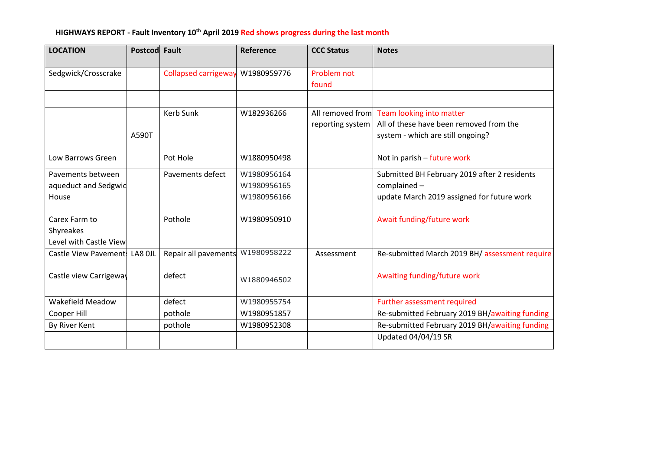#### **HIGHWAYS REPORT - Fault Inventory 10 th April 2019 Red shows progress during the last month**

| <b>LOCATION</b>                                      | Postcod Fault |                             | Reference                                 | <b>CCC Status</b>    | <b>Notes</b>                                                                                                              |
|------------------------------------------------------|---------------|-----------------------------|-------------------------------------------|----------------------|---------------------------------------------------------------------------------------------------------------------------|
| Sedgwick/Crosscrake                                  |               | <b>Collapsed carrigeway</b> | W1980959776                               | Problem not<br>found |                                                                                                                           |
|                                                      |               |                             |                                           |                      |                                                                                                                           |
|                                                      | A590T         | <b>Kerb Sunk</b>            | W182936266                                | reporting system     | All removed from Team looking into matter<br>All of these have been removed from the<br>system - which are still ongoing? |
| Low Barrows Green                                    |               | Pot Hole                    | W1880950498                               |                      | Not in parish - future work                                                                                               |
| Pavements between<br>aqueduct and Sedgwic<br>House   |               | Pavements defect            | W1980956164<br>W1980956165<br>W1980956166 |                      | Submitted BH February 2019 after 2 residents<br>complained -<br>update March 2019 assigned for future work                |
| Carex Farm to<br>Shyreakes<br>Level with Castle View |               | Pothole                     | W1980950910                               |                      | Await funding/future work                                                                                                 |
| Castle View Pavement!                                | LA8 OJL       | Repair all pavements        | W1980958222                               | Assessment           | Re-submitted March 2019 BH/ assessment require                                                                            |
| Castle view Carrigeway                               |               | defect                      | W1880946502                               |                      | Awaiting funding/future work                                                                                              |
| Wakefield Meadow                                     |               | defect                      | W1980955754                               |                      | Further assessment required                                                                                               |
| Cooper Hill                                          |               | pothole                     | W1980951857                               |                      | Re-submitted February 2019 BH/awaiting funding                                                                            |
| By River Kent                                        |               | pothole                     | W1980952308                               |                      | Re-submitted February 2019 BH/awaiting funding                                                                            |
|                                                      |               |                             |                                           |                      | Updated 04/04/19 SR                                                                                                       |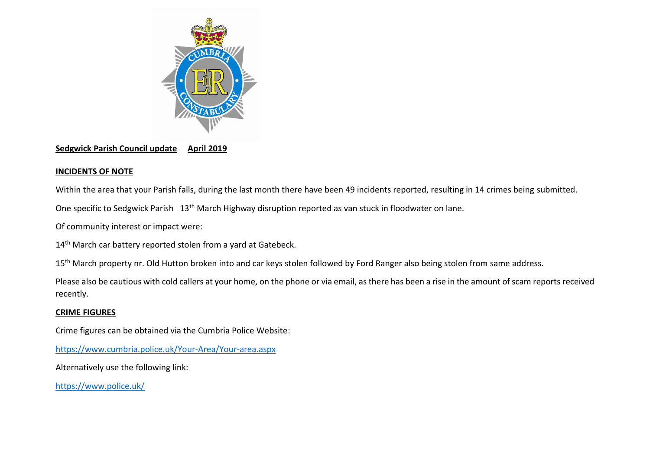

## **Sedgwick Parish Council update April 2019**

# **INCIDENTS OF NOTE**

Within the area that your Parish falls, during the last month there have been 49 incidents reported, resulting in 14 crimes being submitted.

One specific to Sedgwick Parish 13th March Highway disruption reported as van stuck in floodwater on lane.

Of community interest or impact were:

14<sup>th</sup> March car battery reported stolen from a yard at Gatebeck.

15<sup>th</sup> March property nr. Old Hutton broken into and car keys stolen followed by Ford Ranger also being stolen from same address.

Please also be cautious with cold callers at your home, on the phone or via email, as there has been a rise in the amount of scam reports received recently.

## **CRIME FIGURES**

Crime figures can be obtained via the Cumbria Police Website:

<https://www.cumbria.police.uk/Your-Area/Your-area.aspx>

Alternatively use the following link:

<https://www.police.uk/>